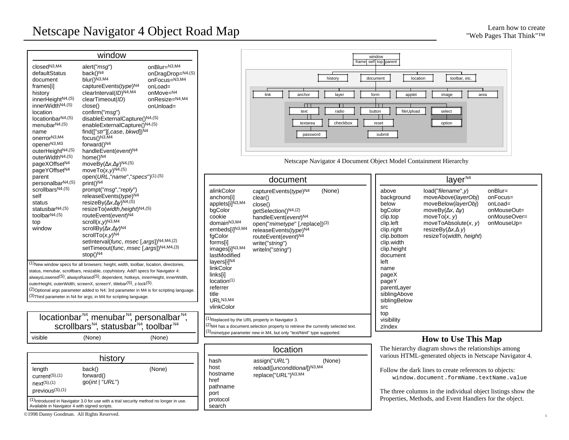|                                                                                                                                                                                                                                                                                                                                                                        | window                                                                                                                                                                                                                                                                                                                                                                                                                                                                                                                          |                                                                                                           |                                                                                                          |
|------------------------------------------------------------------------------------------------------------------------------------------------------------------------------------------------------------------------------------------------------------------------------------------------------------------------------------------------------------------------|---------------------------------------------------------------------------------------------------------------------------------------------------------------------------------------------------------------------------------------------------------------------------------------------------------------------------------------------------------------------------------------------------------------------------------------------------------------------------------------------------------------------------------|-----------------------------------------------------------------------------------------------------------|----------------------------------------------------------------------------------------------------------|
| closed <sup>N3,M4</sup><br>defaultStatus<br>document<br>frames[i]<br>history<br>innerHeight <sup>N4,(S)</sup><br>innerWidthN4,(S)<br>location<br>$locationbar^{N4,(S)}$<br>menubar <sup>N4,(S)</sup><br>name<br>onerror <sup>N3,M4</sup><br>openerN3,M3<br>outerHeight <sup>N4,(S)</sup><br>outerWidthN4,(S)<br>pageXOffset <sup>N4</sup><br>pageYOffset <sup>N4</sup> | alert("msg")<br>back() <sup>N4</sup><br>$blur()^{\tilde{N}3, M4}$<br>captureEvents(type)N4<br>clearInterval(ID)N4,M4<br>clearTimeout(ID)<br>close()<br>confirm("msg")<br>disableExternalCapture()N4,(S)<br>enableExternalCapture()N4,(S)<br>find(["str"][,case, bkwd])N4<br>focus()N3,M4<br>forward()N4<br>handleEvent(event)N4<br>home()N <sub>4</sub><br>moveBy( $x, y$ ) <sup>N4,(S)</sup><br>move $To(x, y)^{N4, (S)}$                                                                                                      | onBlur=N3,M4<br>onDragDrop=N4,(S)<br>onFocus=N3,M4<br>onLoad=<br>onMove=N4<br>onResize=N4,M4<br>onUnload= |                                                                                                          |
| parent<br>personalbar <sup>N4,(S)</sup><br>scrollbars <sup>N4,(S)</sup><br>self<br>status<br>statusbar <sup>N4,(S)</sup><br>toolbar $N4,(S)$<br>top<br>window                                                                                                                                                                                                          | open(URL, "name", "specs")(1),(S)<br>$print()^{N4}$<br>prompt("msg","reply")<br>releaseEvents(type)N4<br>resizeBy( $x, y$ <sup>N4,(S)</sup><br>resizeTo(width, height)N4,(S)<br>routeEvent(event)N4<br>scroll $(x, y)$ <sup>N3,M4</sup><br>scrollBy( $x, y$ ) <sup>N4</sup><br>scrollTo( $x, y$ <sup>N4</sup><br>setInterval(func, msec [,args])N4,M4,(2)<br>setTimeout(func, msec [,args])N4,M4,(3)<br>stop()N4                                                                                                                |                                                                                                           | alink <sup>(</sup><br>ancho<br>apple<br>bgCo<br>cooki<br>doma<br>embe<br>fgCol<br>forms<br>imag<br>lastM |
|                                                                                                                                                                                                                                                                                                                                                                        | (1) New window specs for all browsers: height, width, toolbar, location, directories,<br>status, menubar, scrollbars, resizable, copyhistory. Add'l specs for Navigator 4:<br>alwaysLowered <sup>(S)</sup> , alwaysRaised <sup>(S)</sup> , dependent, hotkeys, innerHeight, innerWidth,<br>outerHeight, outerWidth, screenX, screenY, titlebar(S), z-lock(S).<br>$(2)$ Optional args parameter added to N4; 3rd parameter in M4 is for scripting language.<br>(3) Third parameter in N4 for args; in M4 for scripting language. |                                                                                                           | layers<br>linkC<br>links[<br>locati<br>referr<br>title<br>URL <sup>N</sup>                               |
|                                                                                                                                                                                                                                                                                                                                                                        | locationbar <sup>N4</sup> , menubar <sup>N4</sup> , personalbar <sup>N4</sup> ,<br>scrollbars <sup>N4</sup> , statusbar <sup>N4</sup> , toolbar <sup>N4</sup>                                                                                                                                                                                                                                                                                                                                                                   |                                                                                                           | vlink <sup>(</sup><br>$(1)$ Replac<br><sup>(2)</sup> M4 ha<br>$(3)$ <sub>mimet</sub>                     |
| visible                                                                                                                                                                                                                                                                                                                                                                | (None)                                                                                                                                                                                                                                                                                                                                                                                                                                                                                                                          | (None)                                                                                                    |                                                                                                          |
|                                                                                                                                                                                                                                                                                                                                                                        | history                                                                                                                                                                                                                                                                                                                                                                                                                                                                                                                         |                                                                                                           |                                                                                                          |
| length<br>current <sup>(S),(1)</sup>                                                                                                                                                                                                                                                                                                                                   | back()<br>forward()                                                                                                                                                                                                                                                                                                                                                                                                                                                                                                             | (None)                                                                                                    | hash<br>host<br>hostn                                                                                    |



Netscape Navigator 4 Document Object Model Containment Hierarchy

| document                                                                                                                                                                                                                                                                                             |                                                                                                                                                                                                                                                                    |        |  |
|------------------------------------------------------------------------------------------------------------------------------------------------------------------------------------------------------------------------------------------------------------------------------------------------------|--------------------------------------------------------------------------------------------------------------------------------------------------------------------------------------------------------------------------------------------------------------------|--------|--|
| alinkColor<br>anchors[i]<br>applets[i]N3,M4<br>bgColor<br>cookie<br>domain <sup>N3,M4</sup><br>embeds[i]N3,M4<br>fgColor<br>forms[i]<br>images[i] <sup>N3,M4</sup><br>lastModified<br>layers[i]N4<br>linkColor<br>links[i]<br>location <sup>(1)</sup><br>referrer<br>title<br>URLN3,M4<br>vlinkColor | captureEvents(type) <sup>N4</sup><br>clear()<br>close()<br>getSelection()N4,(2)<br>handleEvent(event) <sup>N4</sup><br>open("mimetype" [,replace])(3)<br>releaseEvents( <i>type</i> ) <sup>N4</sup><br>routeEvent(event)N4<br>write("string")<br>writeln("string") | (None) |  |
| (1) Replaced by the URL property in Navigator 3.<br>$(2)$ M4 has a document selection property to retrieve the currently selected text.<br>(3) mimetype parameter new in M4, but only "text/html" type supported.                                                                                    |                                                                                                                                                                                                                                                                    |        |  |

| location                                                                   |                                                                                           |        |  |
|----------------------------------------------------------------------------|-------------------------------------------------------------------------------------------|--------|--|
| hash<br>host<br>hostname<br>href<br>pathname<br>port<br>protocol<br>search | assign("URL")<br>reload([ <i>unconditional</i> ]) <sup>N3,M4</sup><br>replace("URL")N3,M4 | (None) |  |

|                                                                                                                                                                                                                                                                      | layer <sup>N4</sup>                                                                                                                                                                          |                                                                               |
|----------------------------------------------------------------------------------------------------------------------------------------------------------------------------------------------------------------------------------------------------------------------|----------------------------------------------------------------------------------------------------------------------------------------------------------------------------------------------|-------------------------------------------------------------------------------|
| above<br>background<br>below<br>bgColor<br>clip.top<br>clip.left<br>clip.right<br>clip.bottom<br>clip.width<br>clip.height<br>document<br>left<br>name<br>pageX<br>pageY<br>parentLayer<br>siblingAbove<br>siblingBelow<br><b>SrC</b><br>top<br>visibility<br>zIndex | load("filename", y)<br>moveAbove(layerObj)<br>moveBelow(layerObj)<br>moveBy( $x, y$ )<br>moveTo $(x, y)$<br>moveToAbsolute $(x, y)$<br>resizeBy $(x, y)$<br>resizeTo( <i>width, height</i> ) | $onBlur=$<br>onFocus=<br>onLoad=<br>onMouseOut=<br>onMouseOver=<br>onMouseUp= |

### **How to Use This Map**

The hierarchy diagram shows the relationships among various HTML-generated objects in Netscape Navigator 4.

Follow the dark lines to create references to objects: window.document.formName.textName.value

The three columns in the individual object listings show the Properties, Methods, and Event Handlers for the object.

Available in Navigator 4 with signed scripts. ©1998 Danny Goodman. All Rights Reserved.

go(*int* | "*URL*")

(1)Introduced in Navigator 3.0 for use with a trial security method no longer in use.

next(S),(1) previous(S),(1)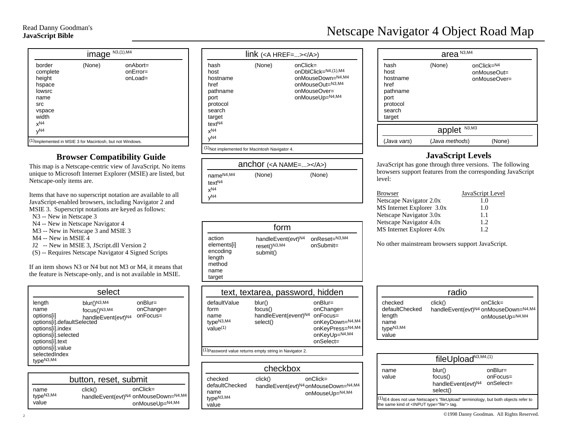| N3, (1), M4<br>image                                                                                                     |        |                                          |  |
|--------------------------------------------------------------------------------------------------------------------------|--------|------------------------------------------|--|
| border<br>complete<br>height<br>hspace<br>lowsrc<br>name<br>src<br>vspace<br>width<br>x <sup>N4</sup><br>V <sup>N4</sup> | (None) | $onAbort =$<br>$onError =$<br>$on$ Load= |  |
| (1) Implemented in MSIE 3 for Macintosh, but not Windows.                                                                |        |                                          |  |

## **Browser Compatibility Guide**

This map is a Netscape-centric view of JavaScript. No items unique to Microsoft Internet Explorer (MSIE) are listed, but Netscape-only items are.

Items that have no superscript notation are available to all JavaScript-enabled browsers, including Navigator 2 and MSIE 3. Superscript notations are keyed as follows:

 N3 -- New in Netscape 3 N4 -- New in Netscape Navigator 4

- M3 -- New in Netscape 3 and MSIE 3
- M4 -- New in MSIE 4
- J2 -- New in MSIE 3, JScript.dll Version 2
- (S) -- Requires Netscape Navigator 4 Signed Scripts

If an item shows N3 or N4 but not M3 or M4, it means that the feature is Netscape-only, and is not available in MSIE.

| select                                                                                                                                                   |                                                                                                      |                                       |
|----------------------------------------------------------------------------------------------------------------------------------------------------------|------------------------------------------------------------------------------------------------------|---------------------------------------|
| length<br>name<br>options[i]<br>options[i].index<br>options[i].selected<br>options[i].text<br>options[i].value<br>selectedIndex<br>type <sup>N3,M4</sup> | blur()N3,M4<br>focus()N3,M4<br>publicity<br>options[i].defaultSelected<br>options[i].defaultSelected | $onBlur=$<br>onChange=<br>$onFocus =$ |

| button, reset, submit                  |         |                                                                        |
|----------------------------------------|---------|------------------------------------------------------------------------|
| name<br>type <sup>N3,M4</sup><br>value | click() | $onClick =$<br>handleEvent(evt)N4 onMouseDown=N4,M4<br>onMouseUp=N4,M4 |

| $link$ ( <a href=""></a> )                                                                                                    |        |                                                                                                                     |
|-------------------------------------------------------------------------------------------------------------------------------|--------|---------------------------------------------------------------------------------------------------------------------|
| hash<br>host<br>hostname<br>href<br>pathname<br>port<br>protocol<br>search<br>target<br>text <sup>N4</sup><br>$x^{N4}$<br>yN4 | (None) | $onClick =$<br>on DbIClick= $N4,(1),M4$<br>onMouseDown=N4,M4<br>onMouseOut=N3,M4<br>onMouseOver=<br>onMouseUp=N4,M4 |
| <sup>(1)</sup> Not implemented for Macintosh Navigator 4.                                                                     |        |                                                                                                                     |

| anchor $(\langle A \text{ NAME}=\ldots \rangle \langle A \rangle)$    |  |        |        |  |
|-----------------------------------------------------------------------|--|--------|--------|--|
| name <sup>N4,M4</sup><br>text <sup>N4</sup><br>x <sup>N4</sup><br>vN4 |  | (None) | (None) |  |

|                                                                         | form                                                       |                               |
|-------------------------------------------------------------------------|------------------------------------------------------------|-------------------------------|
| action<br>elements[i]<br>encoding<br>length<br>method<br>name<br>target | handleEvent(evt) <sup>N4</sup><br>reset()N3,M4<br>submit() | onReset=N3,M4<br>$onSubmit =$ |

| text, textarea, password, hidden                                                                                                                                                                                              |                                                                   |                                                                                                             |
|-------------------------------------------------------------------------------------------------------------------------------------------------------------------------------------------------------------------------------|-------------------------------------------------------------------|-------------------------------------------------------------------------------------------------------------|
| defaultValue<br>form<br>name<br>type <sup>N3,M4</sup><br>value <sup>(1)</sup>                                                                                                                                                 | blur()<br>focus()<br>handleEvent(event) <sup>N4</sup><br>select() | $onBlur =$<br>onChange=<br>$onFocus =$<br>onKeyDown=N4,M4<br>onKeyPress=N4,M4<br>onKeyUp=N4,M4<br>onSelect= |
| $(1)$ , $(1)$ , $(1)$ , $(1)$ , $(1)$ , $(1)$ , $(1)$ , $(1)$ , $(1)$ , $(1)$ , $(1)$ , $(1)$ , $(1)$ , $(1)$ , $(1)$ , $(1)$ , $(1)$ , $(1)$ , $(1)$ , $(1)$ , $(1)$ , $(1)$ , $(1)$ , $(1)$ , $(1)$ , $(1)$ , $(1)$ , $(1)$ |                                                                   |                                                                                                             |

(1)Password value returns empty string in Navigator 2.

| checkbox                                                            |         |                                                                                    |
|---------------------------------------------------------------------|---------|------------------------------------------------------------------------------------|
| checked<br>defaultChecked<br>name<br>type <sup>N3,M4</sup><br>value | click() | $onClick =$<br>handleEvent(evt) <sup>N4</sup> onMouseDown=N4,M4<br>onMouseUp=N4,M4 |

| Netscape Navigator 4 Object Road Map |  |  |
|--------------------------------------|--|--|
|                                      |  |  |

|                                                                                      | area <sup>N3,M4</sup> |                                           |
|--------------------------------------------------------------------------------------|-----------------------|-------------------------------------------|
| hash<br>host<br>hostname<br>href<br>pathname<br>port<br>protocol<br>search<br>target | (None)                | onClick=N4<br>onMouseOut=<br>onMouseOver= |
|                                                                                      | applet                | N3,M3                                     |
| (Java vars)                                                                          | (Java methods)        | (None)                                    |

## **JavaScript Levels**

JavaScript has gone through three versions. The following browsers support features from the corresponding JavaScript level:

| <b>Browser</b>            | JavaScript Level |
|---------------------------|------------------|
| Netscape Navigator 2.0x   | 1.0              |
| MS Internet Explorer 3.0x | 1.0              |
| Netscape Navigator 3.0x   | 1.1              |
| Netscape Navigator 4.0x   | 1.2              |
| MS Internet Explorer 4.0x | 12               |

No other mainstream browsers support JavaScript.

|                                                                               | radio   |                                                                                                |
|-------------------------------------------------------------------------------|---------|------------------------------------------------------------------------------------------------|
| checked<br>defaultChecked<br>length<br>name<br>type <sup>N3,M4</sup><br>value | click() | $onClick =$<br>handleEvent(evt) <sup>N4</sup> onMouseDown= <sup>N4,M4</sup><br>onMouseUp=N4,M4 |

|               | fileUpload <sup>N3,M4,(1)</sup>                                                                                                   |                                          |
|---------------|-----------------------------------------------------------------------------------------------------------------------------------|------------------------------------------|
| name<br>value | blur()<br>focus()<br>handleEvent(evt) <sup>N4</sup><br>select()                                                                   | $onBlur =$<br>$onFocus =$<br>$onSelect=$ |
|               | (1) IE4 does not use Netscape's "fileUpload" terminology, but both objects refer to<br>the same kind of <input type="file"/> tag. |                                          |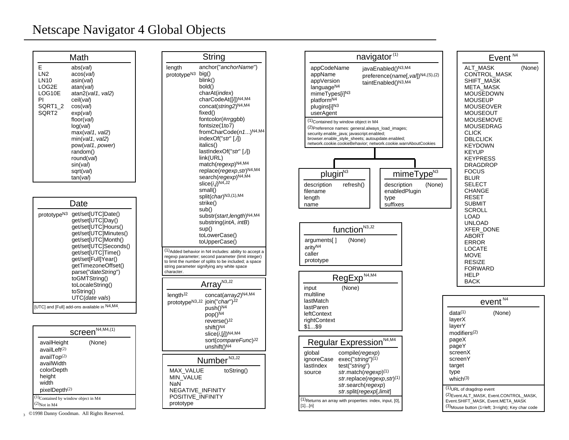## Netscape Navigator 4 Global Objects

|                                                                                       | Math                                                                                                                                                                                                                                                      |
|---------------------------------------------------------------------------------------|-----------------------------------------------------------------------------------------------------------------------------------------------------------------------------------------------------------------------------------------------------------|
| E<br>LN <sub>2</sub><br>LN10<br>LOG2E<br>LOG10E<br>PI<br>SQRT1 2<br>SORT <sub>2</sub> | abs( <i>val</i> )<br>acos(val)<br>asin(val)<br>atan(val)<br>atan2(val1, val2)<br>ceil(val)<br>cos(val)<br>$exp($ <i>val</i> $)$<br>floor(val)<br>log(val)<br>max(val1, val2)<br>min(val1, val2)<br>pow(val1, power)<br>random()<br>round(val)<br>sin(val) |
|                                                                                       | sqrt(val)<br>tan(val)                                                                                                                                                                                                                                     |

|                         | Date                                                                                                                                                                                                                                                                                                    |
|-------------------------|---------------------------------------------------------------------------------------------------------------------------------------------------------------------------------------------------------------------------------------------------------------------------------------------------------|
| prototype <sup>N3</sup> | qet/set[UTC]Date()<br>qet/set[UTC]Day()<br>get/set[UTC]Hours()<br>get/set[UTC]Minutes()<br>get/set[UTC]Month()<br>get/set[UTC]Seconds()<br>qet/set[UTC]Time()<br>qet/set[Full]Year()<br>getTimezoneOffset()<br>parse("dateString")<br>toGMTString()<br>toLocaleString()<br>toString()<br>UTC(date vals) |
|                         | [UTC] and [Full] add-ons available in N4,M4.                                                                                                                                                                                                                                                            |

|                                                                                                                                     | Screen <sup>N4,M4,(1)</sup> |
|-------------------------------------------------------------------------------------------------------------------------------------|-----------------------------|
| availHeight<br>$a$ vail $L$ eft $(2)$<br>availTop $(2)$<br>availWidth<br>colorDepth<br>height<br>width<br>pixelDepth <sup>(2)</sup> | (None)                      |
| $(1)$ Contained by window object in M4<br>Not in M4                                                                                 |                             |

3 ©1998 Danny Goodman. All Rights Reserved.

|                                                                                             | String                                                                                                                                                                                                                                                                                                                                                                                                                                                                                                                                                                                            |
|---------------------------------------------------------------------------------------------|---------------------------------------------------------------------------------------------------------------------------------------------------------------------------------------------------------------------------------------------------------------------------------------------------------------------------------------------------------------------------------------------------------------------------------------------------------------------------------------------------------------------------------------------------------------------------------------------------|
| length<br>prototype <sup>N3</sup>                                                           | anchor("anchorName")<br>big()<br>blink()<br>bold()<br>charAt( <i>index</i> )<br>charCodeAt([i])N4,M4<br>concat(string2)N4,M4<br>fixed()<br>fontcolor(#rrggbb)<br>fontsize(1to7)<br>fromCharCode(n1)N4,M4<br>indexOf("str"[,i])<br><i>italics()</i><br>$lastIndexOf("str"[, \hat{\theta})$<br>link(URL)<br>match(regexp) <sup>N4,M4</sup><br>replace(regexp, str)N4,M4<br>search(regexp)N4,M4<br>$slice(i, j)$ <sup>N4,J2</sup><br>small()<br>split(char)N3,(1),M4<br>strike()<br>sub()<br>substr(start, length)N4,M4<br>substring( <i>intA, intB</i> )<br>sup()<br>toLowerCase()<br>toUpperCase() |
| character.                                                                                  | (1) Added behavior in N4 includes: ability to accept a<br>regexp parameter; second parameter (limit integer)<br>to limit the number of splits to be included; a space<br>string parameter signifying any white space                                                                                                                                                                                                                                                                                                                                                                              |
|                                                                                             | Arrav <sup>N3, J2</sup>                                                                                                                                                                                                                                                                                                                                                                                                                                                                                                                                                                           |
| length <sup>J2</sup>                                                                        | concat(array2)N4,M4<br>prototype <sup>N3,J2</sup> join("char")J2<br>push() <sup>N4</sup><br>pop() <sup>N4</sup><br>reverse() <sup>J2</sup><br>shift() <sup>N4</sup><br>slice( <i>i</i> ,[ <i>j</i> ]) <sup>N4,M4</sup><br>sort( <i>compareFunc</i> ) <sup>J2</sup><br>unshift() <sup>N4</sup>                                                                                                                                                                                                                                                                                                     |
|                                                                                             | Number <sup>N3,J2</sup>                                                                                                                                                                                                                                                                                                                                                                                                                                                                                                                                                                           |
| <b>MAX VALUE</b><br>MIN VALUE<br>NaN<br>NEGATIVE INFINITY<br>POSITIVE INFINITY<br>prototype | toString()                                                                                                                                                                                                                                                                                                                                                                                                                                                                                                                                                                                        |

|                                                                                                                                                                                                                                                                         | navigator <sup>(1)</sup>                                                                                                                                                   |                                               |                | Event                                                                                                                                          |
|-------------------------------------------------------------------------------------------------------------------------------------------------------------------------------------------------------------------------------------------------------------------------|----------------------------------------------------------------------------------------------------------------------------------------------------------------------------|-----------------------------------------------|----------------|------------------------------------------------------------------------------------------------------------------------------------------------|
| appCodeName<br>appName<br>appVersion<br>language <sup>N4</sup><br>mimeTypes[i] <sup>N3</sup><br>platform <sup>N4</sup><br>plugins[i]N3<br>userAgent                                                                                                                     | javaEnabled()N3,M4<br>taintEnabled()N3,M4                                                                                                                                  | preference(name[, val]) <sup>N4,(S),(2)</sup> |                | <b>ALT MASK</b><br><b>CONTROL MASH</b><br>SHIFT_MASK<br>META_MASK<br><b>MOUSEDOWN</b><br><b>MOUSEUP</b><br><b>MOUSEOVER</b><br><b>MOUSEOUT</b> |
| <sup>(1)</sup> Contained by window object in M4<br>(2) Preference names: general.always_load_images;<br>security.enable_java; javascript.enabled;<br>browser.enable_style_sheets; autoupdate.enabled;<br>network.cookie.cookieBehavior; network.cookie.warnAboutCookies |                                                                                                                                                                            |                                               |                | <b>MOUSEMOVE</b><br><b>MOUSEDRAG</b><br><b>CLICK</b><br><b>DBLCLICK</b><br><b>KEYDOWN</b>                                                      |
| plugin <sup>N3</sup>                                                                                                                                                                                                                                                    |                                                                                                                                                                            | mimeType <sup>N3</sup>                        |                | <b>KEYUP</b><br><b>KEYPRESS</b><br><b>DRAGDROP</b><br><b>FOCUS</b>                                                                             |
| description<br>refresh()<br>filename<br>length<br>name                                                                                                                                                                                                                  | description<br>type<br>suffixes                                                                                                                                            | (None)<br>enabledPlugin                       |                | <b>BLUR</b><br><b>SELECT</b><br><b>CHANGE</b><br><b>RESET</b><br><b>SUBMIT</b><br><b>SCROLL</b><br>LOAD                                        |
| function <sup>N3,J2</sup><br>arguments[]<br>arity <sup>N4</sup><br>caller<br>prototype                                                                                                                                                                                  | (None)                                                                                                                                                                     |                                               |                | UNLOAD<br>XFER_DONE<br><b>ABORT</b><br><b>ERROR</b><br>LOCATE<br>MOVE<br><b>RESIZE</b><br><b>FORWARD</b>                                       |
| RegExp <sup>N4,M4</sup>                                                                                                                                                                                                                                                 |                                                                                                                                                                            |                                               |                | HELP<br><b>BACK</b>                                                                                                                            |
| (None)<br>input<br>multiline<br>lastMatch<br>lastParen<br><b>leftContext</b><br>rightContext<br>\$1\$9                                                                                                                                                                  |                                                                                                                                                                            |                                               |                | $event^{\text{N4}}$<br>data <sup>(1)</sup><br>(None)<br>layerX<br>layerY                                                                       |
| Regular Expression <sup>N4,M4</sup>                                                                                                                                                                                                                                     |                                                                                                                                                                            |                                               |                | modifiers <sup>(2)</sup><br>pageX<br>pageY                                                                                                     |
| global<br>ignoreCase<br>test("string")<br>lastIndex<br>source                                                                                                                                                                                                           | compile(regexp)<br>$exec("string")^{(1)}$<br>str.match(regexp) <sup>(1)</sup><br>str.replace(regexp, str) <sup>(1)</sup><br>str.search(regexp)<br>str.split(regexp[,limit] |                                               | target<br>type | screenX<br>screenY<br>which $(3)$<br>(1) URL of dragdrop event                                                                                 |
|                                                                                                                                                                                                                                                                         | (1) Returns an array with properties: index, input, [0],                                                                                                                   |                                               |                | (2) Event.ALT_MASK, Event.CON<br>Event.SHIFT_MASK, Event.META                                                                                  |

| Event <sup>N4</sup>                                                                                                                                                                                                                                                                                                                                                                                                                                                                                                     |        |
|-------------------------------------------------------------------------------------------------------------------------------------------------------------------------------------------------------------------------------------------------------------------------------------------------------------------------------------------------------------------------------------------------------------------------------------------------------------------------------------------------------------------------|--------|
| <b>ALT MASK</b><br><b>CONTROL MASK</b><br><b>SHIFT MASK</b><br>META MASK<br>MOUSEDOWN<br>MOUSEUP<br><b>MOUSEOVER</b><br>MOUSEOUT<br><b>MOUSEMOVE</b><br><b>MOUSEDRAG</b><br><b>CLICK</b><br><b>DBLCLICK</b><br>KEYDOWN<br>KEYUP<br>KEYPRESS<br>DRAGDROP<br><b>FOCUS</b><br><b>BLUR</b><br><b>SELECT</b><br>CHANGE<br><b>RESET</b><br>SUBMIT<br>SCROLL<br>LOAD<br><b>UNLOAD</b><br><b>XFER DONE</b><br>ABORT<br>ERROR<br>LOCATE<br>MOVE<br><b>RESIZE</b><br>FORWARD<br><b>HELP</b><br><b>BACK</b><br>event <sup>N4</sup> | (None) |
|                                                                                                                                                                                                                                                                                                                                                                                                                                                                                                                         |        |

| event                                                                                                                                                         |
|---------------------------------------------------------------------------------------------------------------------------------------------------------------|
| data <sup>(1)</sup><br>(None)<br>layerX<br>layerY<br>modifiers <sup>(2)</sup><br>pageX<br>pageY<br>screenX<br>screenY<br>target<br>type<br>which $(3)$        |
| (1)URL of dragdrop event<br>(2) Event.ALT MASK, Event.CONTROL_MASK,<br>Event.SHIFT MASK, Event.META MASK<br>(3) Mouse button (1=left; 3=right); Key char code |